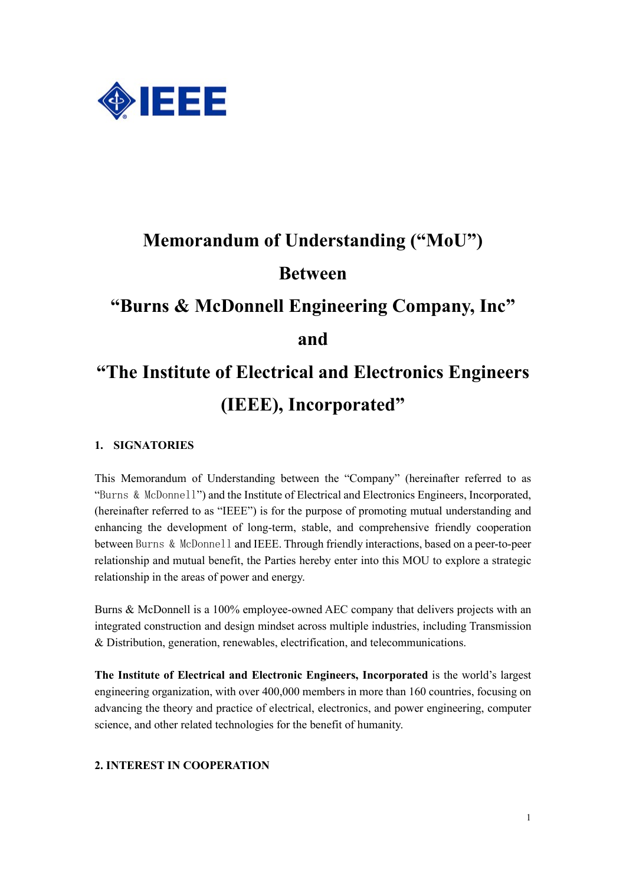

# **Memorandum of Understanding ("MoU") Between "Burns & McDonnell Engineering Company, Inc" and "The Institute of Electrical and Electronics Engineers**

### **(IEEE), Incorporated"**

#### **1. SIGNATORIES**

This Memorandum of Understanding between the "Company" (hereinafter referred to as "Burns & McDonnell") and the Institute of Electrical and Electronics Engineers, Incorporated, (hereinafter referred to as "IEEE") is for the purpose of promoting mutual understanding and enhancing the development of long-term, stable, and comprehensive friendly cooperation between Burns & McDonnell and IEEE. Through friendly interactions, based on a peer-to-peer relationship and mutual benefit, the Parties hereby enter into this MOU to explore a strategic relationship in the areas of power and energy.

Burns & McDonnell is a 100% employee-owned AEC company that delivers projects with an integrated construction and design mindset across multiple industries, including Transmission & Distribution, generation, renewables, electrification, and telecommunications.

**The Institute of Electrical and Electronic Engineers, Incorporated** is the world's largest engineering organization, with over 400,000 members in more than 160 countries, focusing on advancing the theory and practice of electrical, electronics, and power engineering, computer science, and other related technologies for the benefit of humanity.

#### **2. INTEREST IN COOPERATION**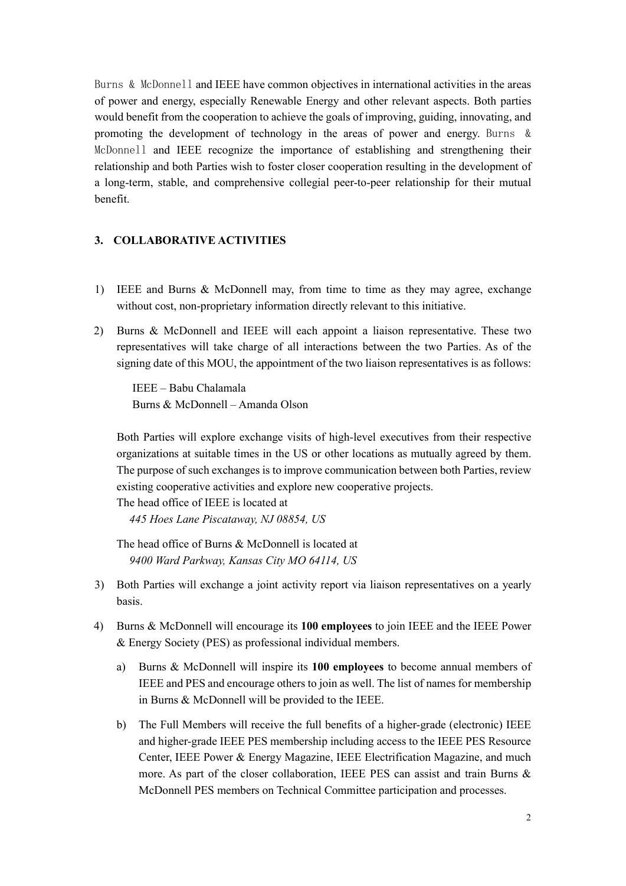Burns & McDonnell and IEEE have common objectives in international activities in the areas of power and energy, especially Renewable Energy and other relevant aspects. Both parties would benefit from the cooperation to achieve the goals of improving, guiding, innovating, and promoting the development of technology in the areas of power and energy. Burns & McDonnell and IEEE recognize the importance of establishing and strengthening their relationship and both Parties wish to foster closer cooperation resulting in the development of a long-term, stable, and comprehensive collegial peer-to-peer relationship for their mutual benefit.

#### **3. COLLABORATIVE ACTIVITIES**

- 1) IEEE and Burns & McDonnell may, from time to time as they may agree, exchange without cost, non-proprietary information directly relevant to this initiative.
- 2) Burns & McDonnell and IEEE will each appoint a liaison representative. These two representatives will take charge of all interactions between the two Parties. As of the signing date of this MOU, the appointment of the two liaison representatives is as follows:

IEEE – Babu Chalamala Burns & McDonnell – Amanda Olson

Both Parties will explore exchange visits of high-level executives from their respective organizations at suitable times in the US or other locations as mutually agreed by them. The purpose of such exchanges is to improve communication between both Parties, review existing cooperative activities and explore new cooperative projects.

The head office of IEEE is located at

*445 Hoes Lane Piscataway, NJ 08854, US*

The head office of Burns & McDonnell is located at *9400 Ward Parkway, Kansas City MO 64114, US*

- 3) Both Parties will exchange a joint activity report via liaison representatives on a yearly basis.
- 4) Burns & McDonnell will encourage its **100 employees** to join IEEE and the IEEE Power & Energy Society (PES) as professional individual members.
	- a) Burns & McDonnell will inspire its **100 employees** to become annual members of IEEE and PES and encourage others to join as well. The list of names for membership in Burns & McDonnell will be provided to the IEEE.
	- b) The Full Members will receive the full benefits of a higher-grade (electronic) IEEE and higher-grade IEEE PES membership including access to the IEEE PES Resource Center, IEEE Power & Energy Magazine, IEEE Electrification Magazine, and much more. As part of the closer collaboration, IEEE PES can assist and train Burns & McDonnell PES members on Technical Committee participation and processes.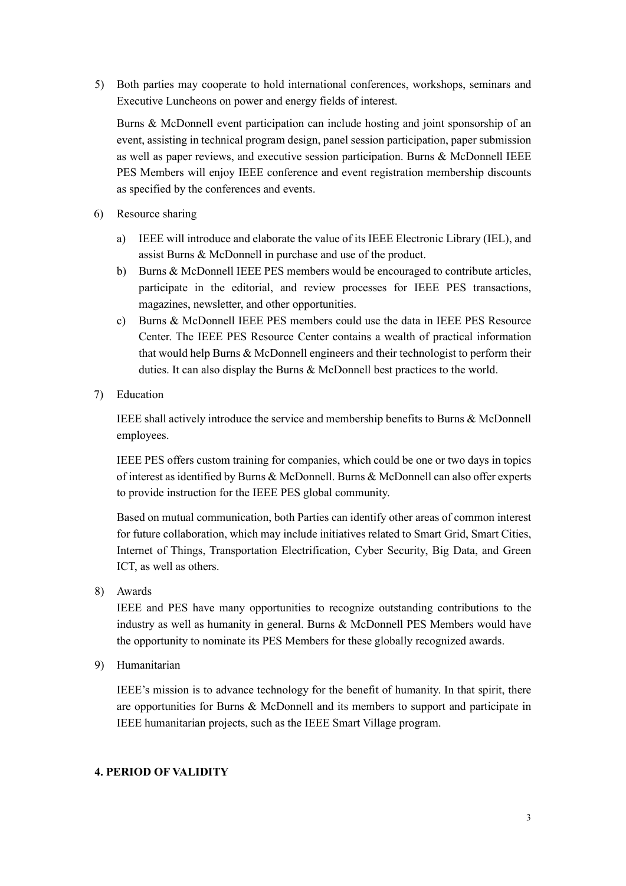5) Both parties may cooperate to hold international conferences, workshops, seminars and Executive Luncheons on power and energy fields of interest.

Burns & McDonnell event participation can include hosting and joint sponsorship of an event, assisting in technical program design, panel session participation, paper submission as well as paper reviews, and executive session participation. Burns & McDonnell IEEE PES Members will enjoy IEEE conference and event registration membership discounts as specified by the conferences and events.

- 6) Resource sharing
	- a) IEEE will introduce and elaborate the value of its IEEE Electronic Library (IEL), and assist Burns & McDonnell in purchase and use of the product.
	- b) Burns & McDonnell IEEE PES members would be encouraged to contribute articles, participate in the editorial, and review processes for IEEE PES transactions, magazines, newsletter, and other opportunities.
	- c) Burns & McDonnell IEEE PES members could use the data in IEEE PES Resource Center. The IEEE PES Resource Center contains a wealth of practical information that would help Burns & McDonnell engineers and their technologist to perform their duties. It can also display the Burns & McDonnell best practices to the world.
- 7) Education

IEEE shall actively introduce the service and membership benefits to Burns & McDonnell employees.

IEEE PES offers custom training for companies, which could be one or two days in topics of interest as identified by Burns & McDonnell. Burns & McDonnell can also offer experts to provide instruction for the IEEE PES global community.

Based on mutual communication, both Parties can identify other areas of common interest for future collaboration, which may include initiatives related to Smart Grid, Smart Cities, Internet of Things, Transportation Electrification, Cyber Security, Big Data, and Green ICT, as well as others.

8) Awards

IEEE and PES have many opportunities to recognize outstanding contributions to the industry as well as humanity in general. Burns & McDonnell PES Members would have the opportunity to nominate its PES Members for these globally recognized awards.

9) Humanitarian

IEEE's mission is to advance technology for the benefit of humanity. In that spirit, there are opportunities for Burns & McDonnell and its members to support and participate in IEEE humanitarian projects, such as the IEEE Smart Village program.

#### **4. PERIOD OF VALIDITY**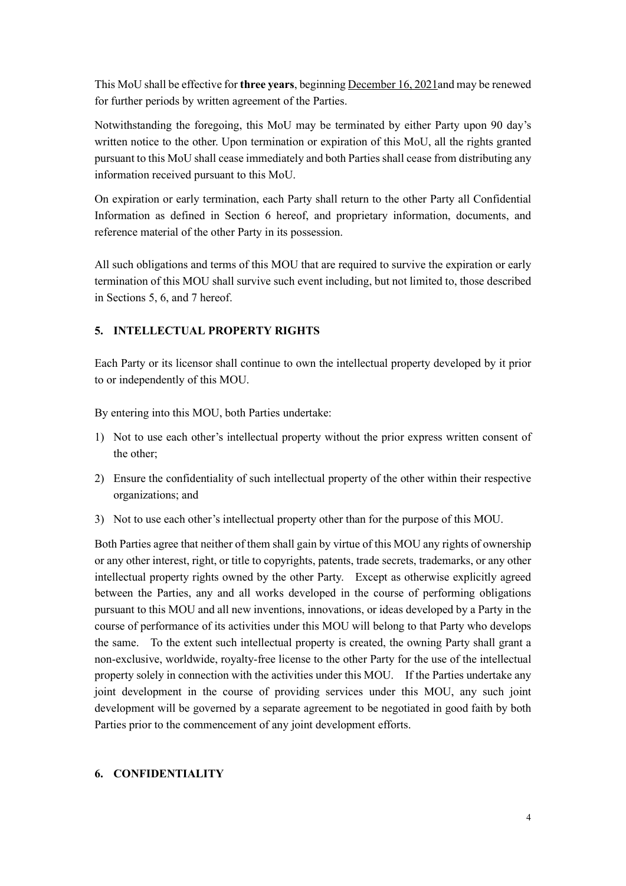This MoU shall be effective for **three years**, beginning December 16, 2021and may be renewed for further periods by written agreement of the Parties.

Notwithstanding the foregoing, this MoU may be terminated by either Party upon 90 day's written notice to the other. Upon termination or expiration of this MoU, all the rights granted pursuant to this MoU shall cease immediately and both Parties shall cease from distributing any information received pursuant to this MoU.

On expiration or early termination, each Party shall return to the other Party all Confidential Information as defined in Section 6 hereof, and proprietary information, documents, and reference material of the other Party in its possession.

All such obligations and terms of this MOU that are required to survive the expiration or early termination of this MOU shall survive such event including, but not limited to, those described in Sections 5, 6, and 7 hereof.

#### **5. INTELLECTUAL PROPERTY RIGHTS**

Each Party or its licensor shall continue to own the intellectual property developed by it prior to or independently of this MOU.

By entering into this MOU, both Parties undertake:

- 1) Not to use each other's intellectual property without the prior express written consent of the other;
- 2) Ensure the confidentiality of such intellectual property of the other within their respective organizations; and
- 3) Not to use each other's intellectual property other than for the purpose of this MOU.

Both Parties agree that neither of them shall gain by virtue of this MOU any rights of ownership or any other interest, right, or title to copyrights, patents, trade secrets, trademarks, or any other intellectual property rights owned by the other Party. Except as otherwise explicitly agreed between the Parties, any and all works developed in the course of performing obligations pursuant to this MOU and all new inventions, innovations, or ideas developed by a Party in the course of performance of its activities under this MOU will belong to that Party who develops the same. To the extent such intellectual property is created, the owning Party shall grant a non-exclusive, worldwide, royalty-free license to the other Party for the use of the intellectual property solely in connection with the activities under this MOU. If the Parties undertake any joint development in the course of providing services under this MOU, any such joint development will be governed by a separate agreement to be negotiated in good faith by both Parties prior to the commencement of any joint development efforts.

#### **6. CONFIDENTIALITY**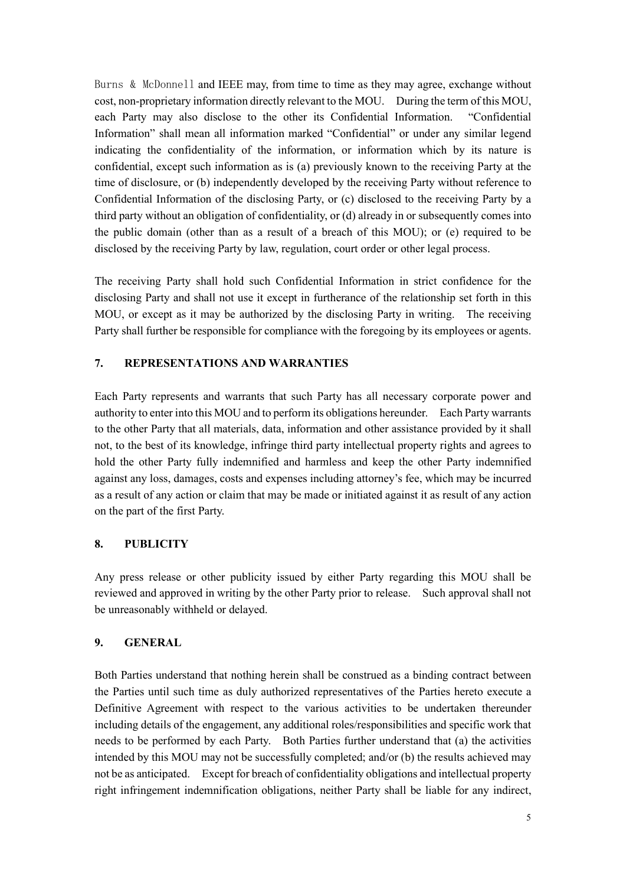Burns & McDonnell and IEEE may, from time to time as they may agree, exchange without cost, non-proprietary information directly relevant to the MOU. During the term of this MOU, each Party may also disclose to the other its Confidential Information. "Confidential Information" shall mean all information marked "Confidential" or under any similar legend indicating the confidentiality of the information, or information which by its nature is confidential, except such information as is (a) previously known to the receiving Party at the time of disclosure, or (b) independently developed by the receiving Party without reference to Confidential Information of the disclosing Party, or (c) disclosed to the receiving Party by a third party without an obligation of confidentiality, or (d) already in or subsequently comes into the public domain (other than as a result of a breach of this MOU); or (e) required to be disclosed by the receiving Party by law, regulation, court order or other legal process.

The receiving Party shall hold such Confidential Information in strict confidence for the disclosing Party and shall not use it except in furtherance of the relationship set forth in this MOU, or except as it may be authorized by the disclosing Party in writing. The receiving Party shall further be responsible for compliance with the foregoing by its employees or agents.

#### **7. REPRESENTATIONS AND WARRANTIES**

Each Party represents and warrants that such Party has all necessary corporate power and authority to enter into this MOU and to perform its obligations hereunder. Each Party warrants to the other Party that all materials, data, information and other assistance provided by it shall not, to the best of its knowledge, infringe third party intellectual property rights and agrees to hold the other Party fully indemnified and harmless and keep the other Party indemnified against any loss, damages, costs and expenses including attorney's fee, which may be incurred as a result of any action or claim that may be made or initiated against it as result of any action on the part of the first Party.

#### **8. PUBLICITY**

Any press release or other publicity issued by either Party regarding this MOU shall be reviewed and approved in writing by the other Party prior to release. Such approval shall not be unreasonably withheld or delayed.

#### **9. GENERAL**

Both Parties understand that nothing herein shall be construed as a binding contract between the Parties until such time as duly authorized representatives of the Parties hereto execute a Definitive Agreement with respect to the various activities to be undertaken thereunder including details of the engagement, any additional roles/responsibilities and specific work that needs to be performed by each Party. Both Parties further understand that (a) the activities intended by this MOU may not be successfully completed; and/or (b) the results achieved may not be as anticipated. Except for breach of confidentiality obligations and intellectual property right infringement indemnification obligations, neither Party shall be liable for any indirect,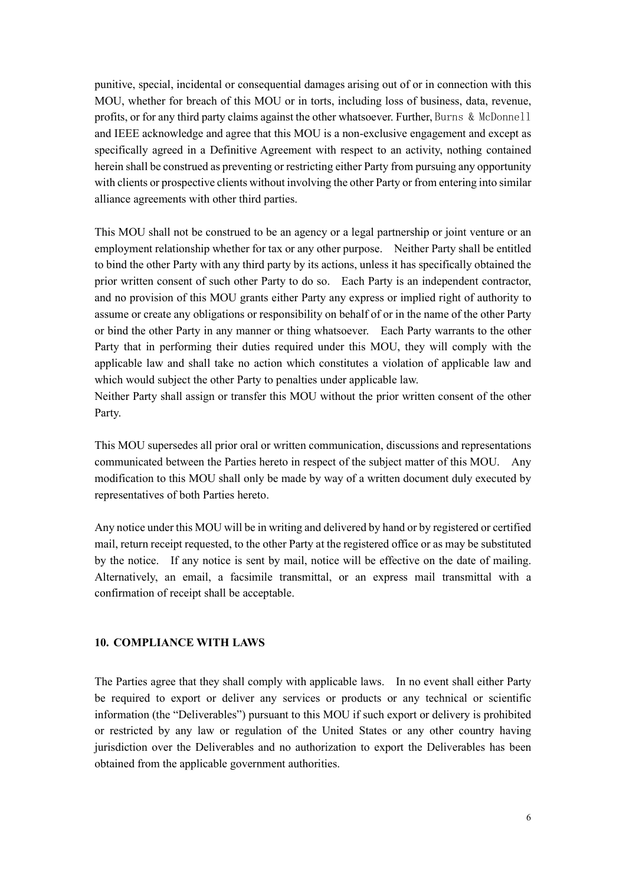punitive, special, incidental or consequential damages arising out of or in connection with this MOU, whether for breach of this MOU or in torts, including loss of business, data, revenue, profits, or for any third party claims against the other whatsoever. Further, Burns & McDonnell and IEEE acknowledge and agree that this MOU is a non-exclusive engagement and except as specifically agreed in a Definitive Agreement with respect to an activity, nothing contained herein shall be construed as preventing or restricting either Party from pursuing any opportunity with clients or prospective clients without involving the other Party or from entering into similar alliance agreements with other third parties.

This MOU shall not be construed to be an agency or a legal partnership or joint venture or an employment relationship whether for tax or any other purpose. Neither Party shall be entitled to bind the other Party with any third party by its actions, unless it has specifically obtained the prior written consent of such other Party to do so. Each Party is an independent contractor, and no provision of this MOU grants either Party any express or implied right of authority to assume or create any obligations or responsibility on behalf of or in the name of the other Party or bind the other Party in any manner or thing whatsoever. Each Party warrants to the other Party that in performing their duties required under this MOU, they will comply with the applicable law and shall take no action which constitutes a violation of applicable law and which would subject the other Party to penalties under applicable law.

Neither Party shall assign or transfer this MOU without the prior written consent of the other Party.

This MOU supersedes all prior oral or written communication, discussions and representations communicated between the Parties hereto in respect of the subject matter of this MOU. Any modification to this MOU shall only be made by way of a written document duly executed by representatives of both Parties hereto.

Any notice under this MOU will be in writing and delivered by hand or by registered or certified mail, return receipt requested, to the other Party at the registered office or as may be substituted by the notice. If any notice is sent by mail, notice will be effective on the date of mailing. Alternatively, an email, a facsimile transmittal, or an express mail transmittal with a confirmation of receipt shall be acceptable.

#### **10. COMPLIANCE WITH LAWS**

The Parties agree that they shall comply with applicable laws. In no event shall either Party be required to export or deliver any services or products or any technical or scientific information (the "Deliverables") pursuant to this MOU if such export or delivery is prohibited or restricted by any law or regulation of the United States or any other country having jurisdiction over the Deliverables and no authorization to export the Deliverables has been obtained from the applicable government authorities.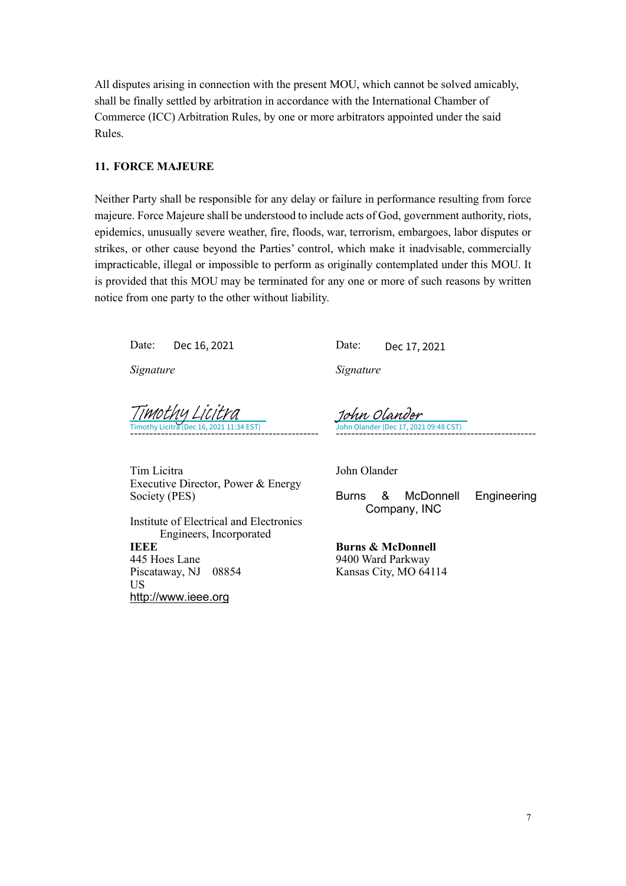All disputes arising in connection with the present MOU, which cannot be solved amicably, shall be finally settled by arbitration in accordance with the International Chamber of Commerce (ICC) Arbitration Rules, by one or more arbitrators appointed under the said Rules.

#### **11. FORCE MAJEURE**

Neither Party shall be responsible for any delay or failure in performance resulting from force majeure. Force Majeure shall be understood to include acts of God, government authority, riots, epidemics, unusually severe weather, fire, floods, war, terrorism, embargoes, labor disputes or strikes, or other cause beyond the Parties' control, which make it inadvisable, commercially impracticable, illegal or impossible to perform as originally contemplated under this MOU. It is provided that this MOU may be terminated for any one or more of such reasons by written notice from one party to the other without liability.

Date: Date: Dec 16, 2021

*Signature*

Dec 17, 2021

*Signature*

*-------------------------------------------------* Dec 16, 2021 11:34 EST) [Timothy Licitra](https://na1.documents.adobe.com/verifier?tx=CBJCHBCAABAAXmCOHYaP7rrWHvfh38QTQzhJwKHdrgK8)

*----------------------------------------------------* John Olander (Dec 17, 2021 09:48 CST) [John Olander](https://secure.na1.adobesign.com/verifier?tx=CBJCHBCAABAAXmCOHYaP7rrWHvfh38QTQzhJwKHdrgK8)

Tim Licitra Executive Director, Power & Energy Society (PES)

Institute of Electrical and Electronics Engineers, Incorporated **IEEE**  445 Hoes Lane Piscataway, NJ 08854 US [http://www.ieee.org](http://www.ieee.org/)

John Olander

Burns & McDonnell Engineering Company, INC

**Burns & McDonnell** 9400 Ward Parkway Kansas City, MO 64114